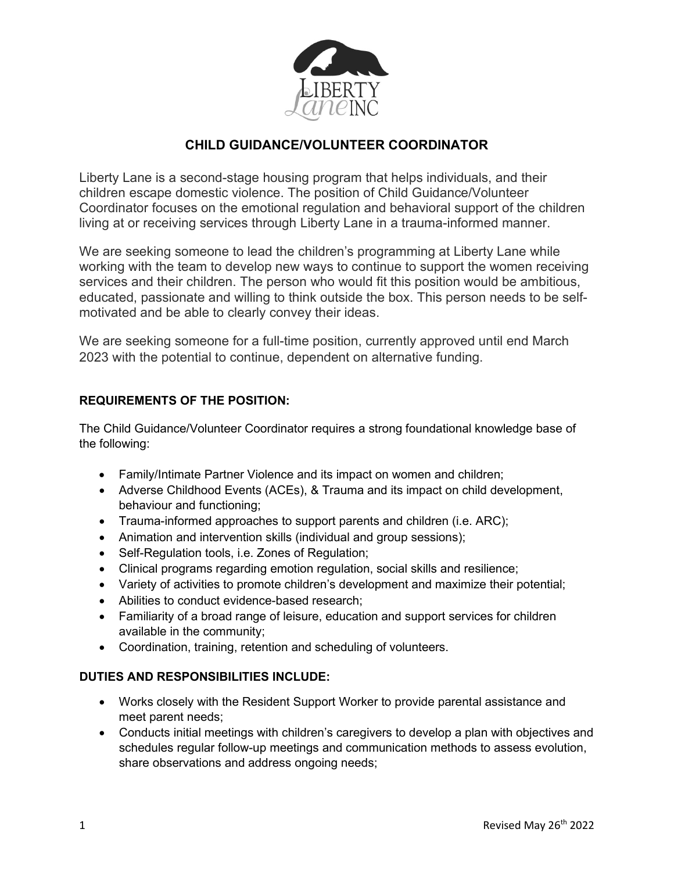

# **CHILD GUIDANCE/VOLUNTEER COORDINATOR**

Liberty Lane is a second-stage housing program that helps individuals, and their children escape domestic violence. The position of Child Guidance/Volunteer Coordinator focuses on the emotional regulation and behavioral support of the children living at or receiving services through Liberty Lane in a trauma-informed manner.

We are seeking someone to lead the children's programming at Liberty Lane while working with the team to develop new ways to continue to support the women receiving services and their children. The person who would fit this position would be ambitious, educated, passionate and willing to think outside the box. This person needs to be selfmotivated and be able to clearly convey their ideas.

We are seeking someone for a full-time position, currently approved until end March 2023 with the potential to continue, dependent on alternative funding.

## **REQUIREMENTS OF THE POSITION:**

The Child Guidance/Volunteer Coordinator requires a strong foundational knowledge base of the following:

- Family/Intimate Partner Violence and its impact on women and children;
- Adverse Childhood Events (ACEs), & Trauma and its impact on child development, behaviour and functioning;
- Trauma-informed approaches to support parents and children (i.e. ARC);
- Animation and intervention skills (individual and group sessions);
- Self-Regulation tools, i.e. Zones of Regulation;
- Clinical programs regarding emotion regulation, social skills and resilience;
- Variety of activities to promote children's development and maximize their potential;
- Abilities to conduct evidence-based research;
- Familiarity of a broad range of leisure, education and support services for children available in the community;
- Coordination, training, retention and scheduling of volunteers.

### **DUTIES AND RESPONSIBILITIES INCLUDE:**

- Works closely with the Resident Support Worker to provide parental assistance and meet parent needs;
- Conducts initial meetings with children's caregivers to develop a plan with objectives and schedules regular follow-up meetings and communication methods to assess evolution, share observations and address ongoing needs;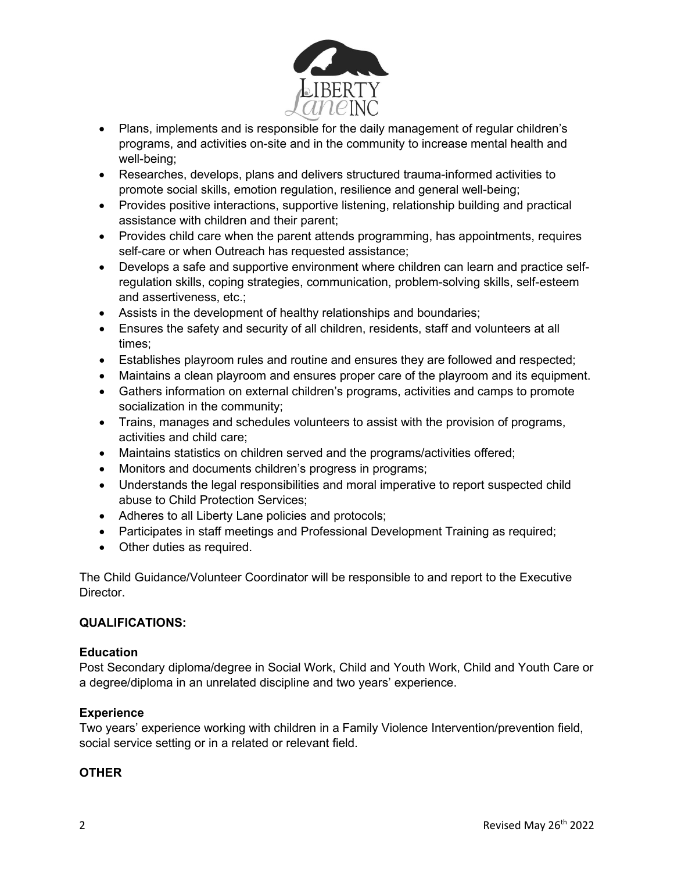

- Plans, implements and is responsible for the daily management of regular children's programs, and activities on-site and in the community to increase mental health and well-being;
- Researches, develops, plans and delivers structured trauma-informed activities to promote social skills, emotion regulation, resilience and general well-being;
- Provides positive interactions, supportive listening, relationship building and practical assistance with children and their parent;
- Provides child care when the parent attends programming, has appointments, requires self-care or when Outreach has requested assistance;
- Develops a safe and supportive environment where children can learn and practice selfregulation skills, coping strategies, communication, problem-solving skills, self-esteem and assertiveness, etc.;
- Assists in the development of healthy relationships and boundaries;
- Ensures the safety and security of all children, residents, staff and volunteers at all times;
- Establishes playroom rules and routine and ensures they are followed and respected;
- Maintains a clean playroom and ensures proper care of the playroom and its equipment.
- Gathers information on external children's programs, activities and camps to promote socialization in the community;
- Trains, manages and schedules volunteers to assist with the provision of programs, activities and child care;
- Maintains statistics on children served and the programs/activities offered;
- Monitors and documents children's progress in programs;
- Understands the legal responsibilities and moral imperative to report suspected child abuse to Child Protection Services;
- Adheres to all Liberty Lane policies and protocols;
- Participates in staff meetings and Professional Development Training as required;
- Other duties as required.

The Child Guidance/Volunteer Coordinator will be responsible to and report to the Executive Director.

### **QUALIFICATIONS:**

### **Education**

Post Secondary diploma/degree in Social Work, Child and Youth Work, Child and Youth Care or a degree/diploma in an unrelated discipline and two years' experience.

### **Experience**

Two years' experience working with children in a Family Violence Intervention/prevention field, social service setting or in a related or relevant field.

### **OTHER**